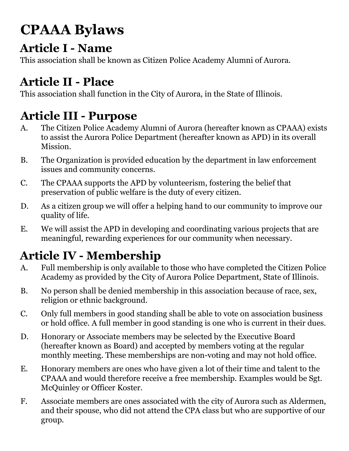# **CPAAA Bylaws**

### **Article I - Name**

This association shall be known as Citizen Police Academy Alumni of Aurora.

# **Article II - Place**

This association shall function in the City of Aurora, in the State of Illinois.

# **Article III - Purpose**

- A. The Citizen Police Academy Alumni of Aurora (hereafter known as CPAAA) exists to assist the Aurora Police Department (hereafter known as APD) in its overall Mission.
- B. The Organization is provided education by the department in law enforcement issues and community concerns.
- C. The CPAAA supports the APD by volunteerism, fostering the belief that preservation of public welfare is the duty of every citizen.
- D. As a citizen group we will offer a helping hand to our community to improve our quality of life.
- E. We will assist the APD in developing and coordinating various projects that are meaningful, rewarding experiences for our community when necessary.

# **Article IV - Membership**

- A. Full membership is only available to those who have completed the Citizen Police Academy as provided by the City of Aurora Police Department, State of Illinois.
- B. No person shall be denied membership in this association because of race, sex, religion or ethnic background.
- C. Only full members in good standing shall be able to vote on association business or hold office. A full member in good standing is one who is current in their dues.
- D. Honorary or Associate members may be selected by the Executive Board (hereafter known as Board) and accepted by members voting at the regular monthly meeting. These memberships are non-voting and may not hold office.
- E. Honorary members are ones who have given a lot of their time and talent to the CPAAA and would therefore receive a free membership. Examples would be Sgt. McQuinley or Officer Koster.
- F. Associate members are ones associated with the city of Aurora such as Aldermen, and their spouse, who did not attend the CPA class but who are supportive of our group.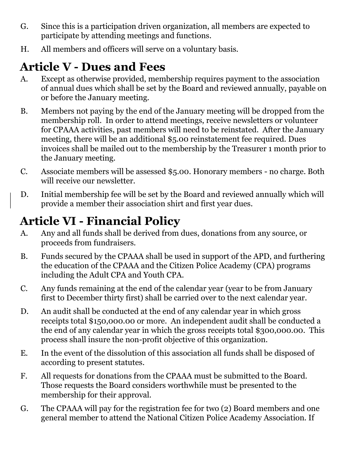- G. Since this is a participation driven organization, all members are expected to participate by attending meetings and functions.
- H. All members and officers will serve on a voluntary basis.

### **Article V - Dues and Fees**

- A. Except as otherwise provided, membership requires payment to the association of annual dues which shall be set by the Board and reviewed annually, payable on or before the January meeting.
- B. Members not paying by the end of the January meeting will be dropped from the membership roll. In order to attend meetings, receive newsletters or volunteer for CPAAA activities, past members will need to be reinstated. After the January meeting, there will be an additional \$5.00 reinstatement fee required. Dues invoices shall be mailed out to the membership by the Treasurer 1 month prior to the January meeting.
- C. Associate members will be assessed \$5.00. Honorary members no charge. Both will receive our newsletter.
- D. Initial membership fee will be set by the Board and reviewed annually which will provide a member their association shirt and first year dues.

# **Article VI - Financial Policy**

- A. Any and all funds shall be derived from dues, donations from any source, or proceeds from fundraisers.
- B. Funds secured by the CPAAA shall be used in support of the APD, and furthering the education of the CPAAA and the Citizen Police Academy (CPA) programs including the Adult CPA and Youth CPA.
- C. Any funds remaining at the end of the calendar year (year to be from January first to December thirty first) shall be carried over to the next calendar year.
- D. An audit shall be conducted at the end of any calendar year in which gross receipts total \$150,000.00 or more. An independent audit shall be conducted a the end of any calendar year in which the gross receipts total \$300,000.00. This process shall insure the non-profit objective of this organization.
- E. In the event of the dissolution of this association all funds shall be disposed of according to present statutes.
- F. All requests for donations from the CPAAA must be submitted to the Board. Those requests the Board considers worthwhile must be presented to the membership for their approval.
- G. The CPAAA will pay for the registration fee for two (2) Board members and one general member to attend the National Citizen Police Academy Association. If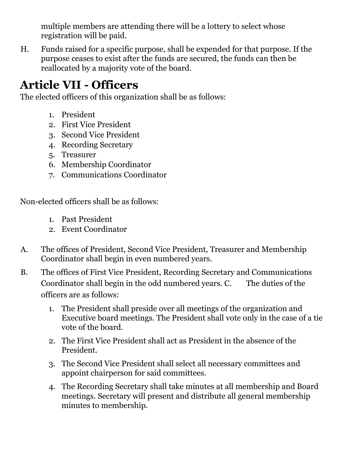multiple members are attending there will be a lottery to select whose registration will be paid.

H. Funds raised for a specific purpose, shall be expended for that purpose. If the purpose ceases to exist after the funds are secured, the funds can then be reallocated by a majority vote of the board.

#### **Article VII - Officers**

The elected officers of this organization shall be as follows:

- 1. President
- 2. First Vice President
- 3. Second Vice President
- 4. Recording Secretary
- 5. Treasurer
- 6. Membership Coordinator
- 7. Communications Coordinator

Non-elected officers shall be as follows:

- 1. Past President
- 2. Event Coordinator
- A. The offices of President, Second Vice President, Treasurer and Membership Coordinator shall begin in even numbered years.
- B. The offices of First Vice President, Recording Secretary and Communications Coordinator shall begin in the odd numbered years. C. The duties of the officers are as follows:
	- 1. The President shall preside over all meetings of the organization and Executive board meetings. The President shall vote only in the case of a tie vote of the board.
	- 2. The First Vice President shall act as President in the absence of the President.
	- 3. The Second Vice President shall select all necessary committees and appoint chairperson for said committees.
	- 4. The Recording Secretary shall take minutes at all membership and Board meetings. Secretary will present and distribute all general membership minutes to membership.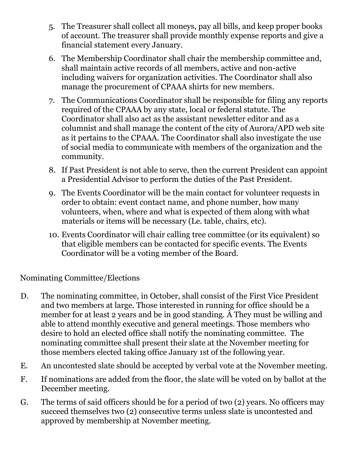- 5. The Treasurer shall collect all moneys, pay all bills, and keep proper books of account. The treasurer shall provide monthly expense reports and give a financial statement every January.
- 6. The Membership Coordinator shall chair the membership committee and, shall maintain active records of all members, active and non-active including waivers for organization activities. The Coordinator shall also manage the procurement of CPAAA shirts for new members.
- 7. The Communications Coordinator shall be responsible for filing any reports required of the CPAAA by any state, local or federal statute. The Coordinator shall also act as the assistant newsletter editor and as a columnist and shall manage the content of the city of Aurora/APD web site as it pertains to the CPAAA. The Coordinator shall also investigate the use of social media to communicate with members of the organization and the community.
- 8. If Past President is not able to serve, then the current President can appoint a Presidential Advisor to perform the duties of the Past President.
- 9. The Events Coordinator will be the main contact for volunteer requests in order to obtain: event contact name, and phone number, how many volunteers, when, where and what is expected of them along with what materials or items will be necessary (Le. table, chairs, etc).
- 10. Events Coordinator will chair calling tree committee (or its equivalent) so that eligible members can be contacted for specific events. The Events Coordinator will be a voting member of the Board.

#### Nominating Committee/Elections

- D. The nominating committee, in October, shall consist of the First Vice President and two members at large. Those interested in running for office should be a member for at least 2 years and be in good standing. Â They must be willing and able to attend monthly executive and general meetings. Those members who desire to hold an elected office shall notify the nominating committee. The nominating committee shall present their slate at the November meeting for those members elected taking office January 1st of the following year.
- E. An uncontested slate should be accepted by verbal vote at the November meeting.
- F. If nominations are added from the floor, the slate will be voted on by ballot at the December meeting.
- G. The terms of said officers should be for a period of two (2) years. No officers may succeed themselves two (2) consecutive terms unless slate is uncontested and approved by membership at November meeting.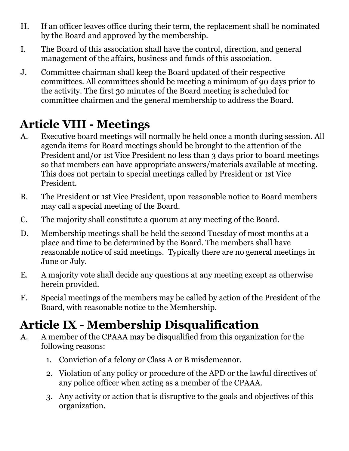- H. If an officer leaves office during their term, the replacement shall be nominated by the Board and approved by the membership.
- I. The Board of this association shall have the control, direction, and general management of the affairs, business and funds of this association.
- J. Committee chairman shall keep the Board updated of their respective committees. All committees should be meeting a minimum of 90 days prior to the activity. The first 30 minutes of the Board meeting is scheduled for committee chairmen and the general membership to address the Board.

#### **Article VIII - Meetings**

- A. Executive board meetings will normally be held once a month during session. All agenda items for Board meetings should be brought to the attention of the President and/or 1st Vice President no less than 3 days prior to board meetings so that members can have appropriate answers/materials available at meeting. This does not pertain to special meetings called by President or 1st Vice President.
- B. The President or 1st Vice President, upon reasonable notice to Board members may call a special meeting of the Board.
- C. The majority shall constitute a quorum at any meeting of the Board.
- D. Membership meetings shall be held the second Tuesday of most months at a place and time to be determined by the Board. The members shall have reasonable notice of said meetings. Typically there are no general meetings in June or July.
- E. A majority vote shall decide any questions at any meeting except as otherwise herein provided.
- F. Special meetings of the members may be called by action of the President of the Board, with reasonable notice to the Membership.

## **Article IX - Membership Disqualification**

- A. A member of the CPAAA may be disqualified from this organization for the following reasons:
	- 1. Conviction of a felony or Class A or B misdemeanor.
	- 2. Violation of any policy or procedure of the APD or the lawful directives of any police officer when acting as a member of the CPAAA.
	- 3. Any activity or action that is disruptive to the goals and objectives of this organization.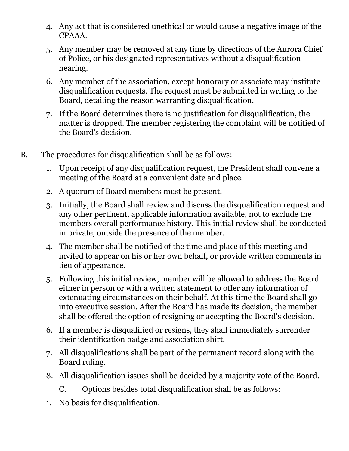- 4. Any act that is considered unethical or would cause a negative image of the CPAAA.
- 5. Any member may be removed at any time by directions of the Aurora Chief of Police, or his designated representatives without a disqualification hearing.
- 6. Any member of the association, except honorary or associate may institute disqualification requests. The request must be submitted in writing to the Board, detailing the reason warranting disqualification.
- 7. If the Board determines there is no justification for disqualification, the matter is dropped. The member registering the complaint will be notified of the Board's decision.
- B. The procedures for disqualification shall be as follows:
	- 1. Upon receipt of any disqualification request, the President shall convene a meeting of the Board at a convenient date and place.
	- 2. A quorum of Board members must be present.
	- 3. Initially, the Board shall review and discuss the disqualification request and any other pertinent, applicable information available, not to exclude the members overall performance history. This initial review shall be conducted in private, outside the presence of the member.
	- 4. The member shall be notified of the time and place of this meeting and invited to appear on his or her own behalf, or provide written comments in lieu of appearance.
	- 5. Following this initial review, member will be allowed to address the Board either in person or with a written statement to offer any information of extenuating circumstances on their behalf. At this time the Board shall go into executive session. After the Board has made its decision, the member shall be offered the option of resigning or accepting the Board's decision.
	- 6. If a member is disqualified or resigns, they shall immediately surrender their identification badge and association shirt.
	- 7. All disqualifications shall be part of the permanent record along with the Board ruling.
	- 8. All disqualification issues shall be decided by a majority vote of the Board.
		- C. Options besides total disqualification shall be as follows:
	- 1. No basis for disqualification.